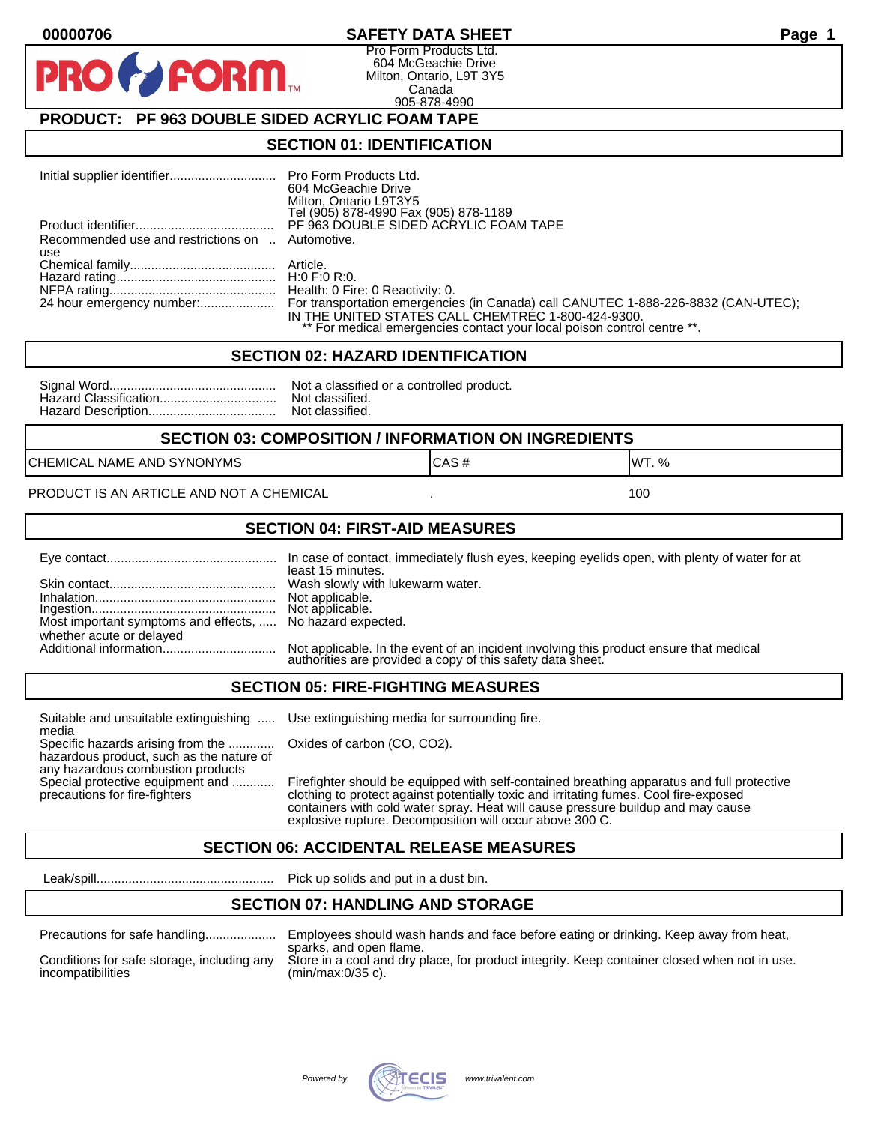#### **00000706 SAFETY DATA SHEET Page 1**

Pro Form Products Ltd. 604 McGeachie Drive Milton, Ontario, L9T 3Y5 Canada 905-878-4990

## **PRODUCT: PF 963 DOUBLE SIDED ACRYLIC FOAM TAPE**

**FORM** 

#### **SECTION 01: IDENTIFICATION**

|                                                         | 604 McGeachie Drive<br>Milton, Ontario L9T3Y5<br>Tel (905) 878-4990 Fax (905) 878-1189                                                                                                                                                        |
|---------------------------------------------------------|-----------------------------------------------------------------------------------------------------------------------------------------------------------------------------------------------------------------------------------------------|
|                                                         | PF 963 DOUBLE SIDED ACRYLIC FOAM TAPE                                                                                                                                                                                                         |
| Recommended use and restrictions on  Automotive.<br>use |                                                                                                                                                                                                                                               |
|                                                         |                                                                                                                                                                                                                                               |
|                                                         |                                                                                                                                                                                                                                               |
|                                                         | 24 hour emergency number: For transportation emergencies (in Canada) call CANUTEC 1-888-226-8832 (CAN-UTEC);<br>IN THE UNITED STATES CALL CHEMTREC 1-800-424-9300.<br>** For medical emergencies contact your local poison control centre **. |

#### **SECTION 02: HAZARD IDENTIFICATION**

| Nc |
|----|
| No |
| No |

ot a classified or a controlled product. ot classified. ot classified.

#### **SECTION 03: COMPOSITION / INFORMATION ON INGREDIENTS**

CHEMICAL NAME AND SYNONYMS GAS AND CAS # CAS # WT. %

PRODUCT IS AN ARTICLE AND NOT A CHEMICAL **AND THE SET AND A SET ALL ASSAULT** 100

#### **SECTION 04: FIRST-AID MEASURES**

|                                                                                       | In case of contact, immediately flush eyes, keeping eyelids open, with plenty of water for at<br>least 15 minutes.                                   |
|---------------------------------------------------------------------------------------|------------------------------------------------------------------------------------------------------------------------------------------------------|
|                                                                                       |                                                                                                                                                      |
| Most important symptoms and effects,  No hazard expected.<br>whether acute or delayed |                                                                                                                                                      |
|                                                                                       | Not applicable. In the event of an incident involving this product ensure that medical<br>authorities are provided a copy of this safety data sheet. |

#### **SECTION 05: FIRE-FIGHTING MEASURES**

Suitable and unsuitable extinguishing ..... Use extinguishing media for surrounding fire. media

Specific hazards arising from the ............. Oxides of carbon (CO, CO2). hazardous product, such as the nature of any hazardous combustion products

Special protective equipment and ............ Firefighter should be equipped with self-contained breathing apparatus and full protective<br>precautions for fire-fighters continent clothing to protect against potentially toxic clothing to protect against potentially toxic and irritating fumes. Cool fire-exposed containers with cold water spray. Heat will cause pressure buildup and may cause explosive rupture. Decomposition will occur above 300 C.

## **SECTION 06: ACCIDENTAL RELEASE MEASURES**

Leak/spill.................................................. Pick up solids and put in a dust bin.

#### **SECTION 07: HANDLING AND STORAGE**

| Precautions for safe handling |  |  |
|-------------------------------|--|--|
|                               |  |  |

incompatibilities (min/max:0/35 c).

Precautions for safe handling.................... Employees should wash hands and face before eating or drinking. Keep away from heat, sparks, and open flame. Conditions for safe storage, including any Store in a cool and dry place, for product integrity. Keep container closed when not in use.

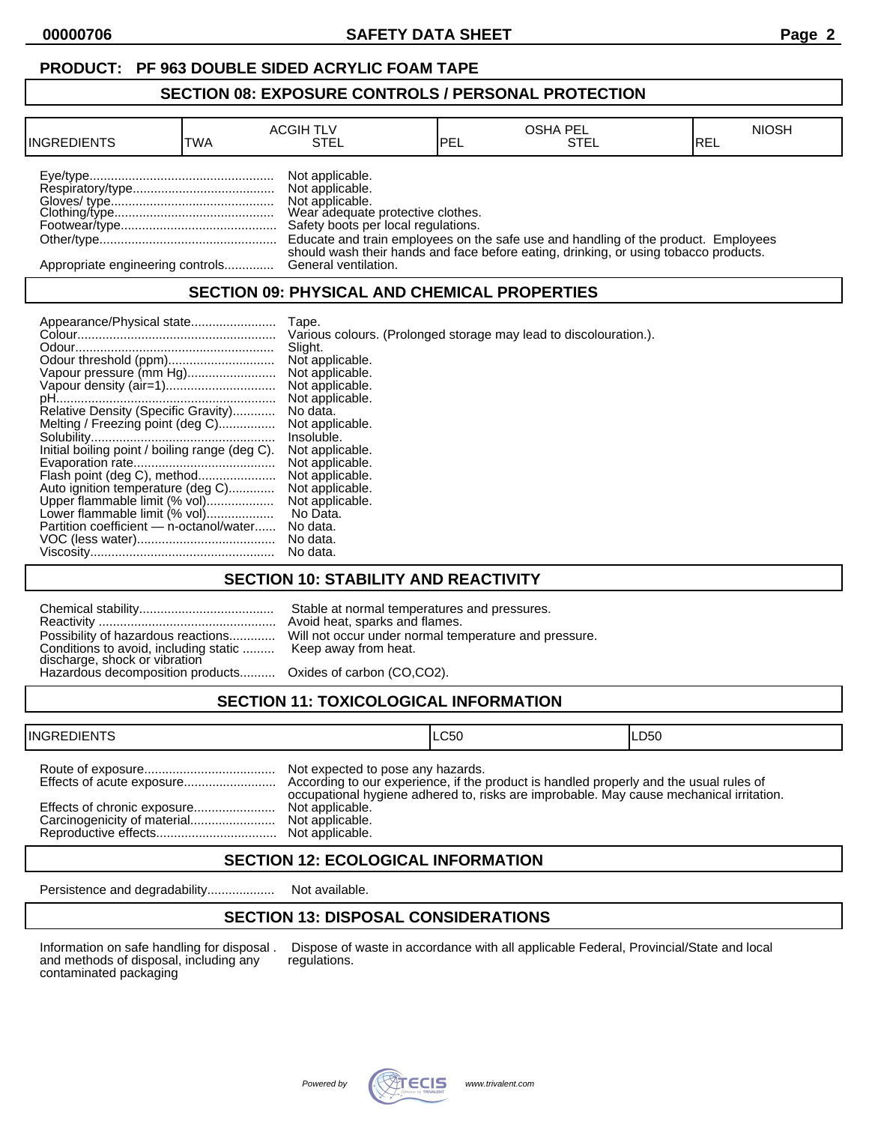## **PRODUCT: PF 963 DOUBLE SIDED ACRYLIC FOAM TAPE**

#### **SECTION 08: EXPOSURE CONTROLS / PERSONAL PROTECTION**

| <b>INGREDIENTS</b>               | TWA | <b>ACGIH TLV</b><br>STEL                                                                                                          | <b>IPEL</b> | <b>OSHA PEL</b><br>STEL                                                              | <b>NIOSH</b><br>IREL |
|----------------------------------|-----|-----------------------------------------------------------------------------------------------------------------------------------|-------------|--------------------------------------------------------------------------------------|----------------------|
|                                  |     | Not applicable.<br>Not applicable.<br>Not applicable.<br>Wear adequate protective clothes.<br>Safety boots per local regulations. |             | Educate and train employees on the safe use and handling of the product. Employees   |                      |
| Appropriate engineering controls |     | General ventilation.                                                                                                              |             | should wash their hands and face before eating, drinking, or using tobacco products. |                      |

## **SECTION 09: PHYSICAL AND CHEMICAL PROPERTIES**

| Appearance/Physical state                      | Tape.                                                             |
|------------------------------------------------|-------------------------------------------------------------------|
|                                                | Various colours. (Prolonged storage may lead to discolouration.). |
|                                                | Slight.                                                           |
|                                                | Not applicable.                                                   |
| Vapour pressure (mm Hg)                        | Not applicable.                                                   |
|                                                | Not applicable.                                                   |
|                                                | Not applicable.                                                   |
| Relative Density (Specific Gravity)            | No data.                                                          |
| Melting / Freezing point (deg C)               | Not applicable.                                                   |
|                                                | Insoluble.                                                        |
| Initial boiling point / boiling range (deg C). | Not applicable.                                                   |
|                                                | Not applicable.                                                   |
| Flash point (deg C), method                    | Not applicable.                                                   |
| Auto ignition temperature (deg C)              | Not applicable.                                                   |
| Upper flammable limit (% vol)                  | Not applicable.                                                   |
| Lower flammable limit (% vol)                  | No Data.                                                          |
| Partition coefficient - n-octanol/water        | No data.                                                          |
|                                                | No data.                                                          |
|                                                | No data.                                                          |

## **SECTION 10: STABILITY AND REACTIVITY**

| Conditions to avoid, including static  Keep away from heat.<br>discharge, shock or vibration<br>Hazardous decomposition products Oxides of carbon (CO,CO2). | Stable at normal temperatures and pressures.<br>Avoid heat, sparks and flames.<br>Possibility of hazardous reactions Will not occur under normal temperature and pressure. |
|-------------------------------------------------------------------------------------------------------------------------------------------------------------|----------------------------------------------------------------------------------------------------------------------------------------------------------------------------|
|                                                                                                                                                             |                                                                                                                                                                            |

# **SECTION 11: TOXICOLOGICAL INFORMATION**

| Not expected to pose any hazards.<br>occupational hygiene adhered to, risks are improbable. May cause mechanical irritation.<br>Effects of chronic exposure<br>Not applicable.<br>Not applicable. |  |
|---------------------------------------------------------------------------------------------------------------------------------------------------------------------------------------------------|--|

## **SECTION 12: ECOLOGICAL INFORMATION**

Persistence and degradability................... Not available.

## **SECTION 13: DISPOSAL CONSIDERATIONS**

and methods of disposal, including any contaminated packaging

Information on safe handling for disposal . Dispose of waste in accordance with all applicable Federal, Provincial/State and local